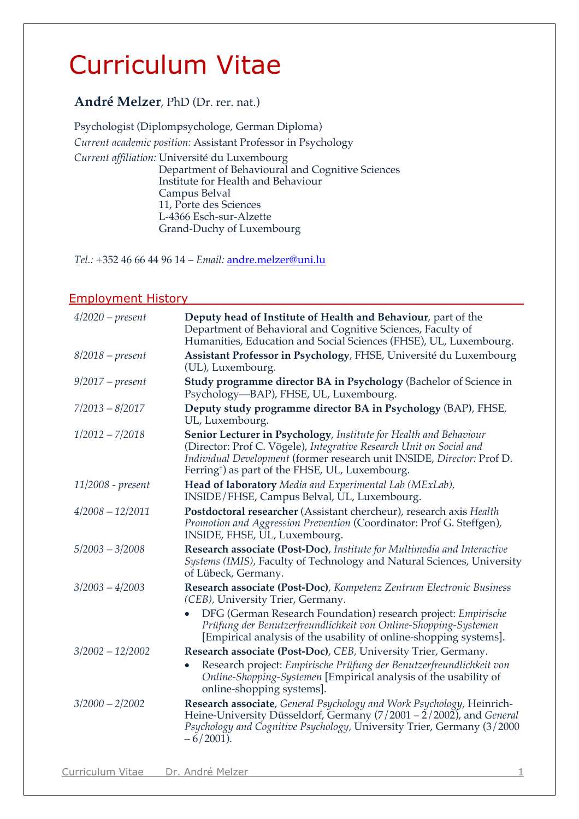# Curriculum Vitae

# **André Melzer**, PhD (Dr. rer. nat.)

Psychologist (Diplompsychologe, German Diploma) *Current academic position:* Assistant Professor in Psychology *Current affiliation:* Université du Luxembourg Department of Behavioural and Cognitive Sciences Institute for Health and Behaviour Campus Belval 11, Porte des Sciences L-4366 Esch-sur-Alzette Grand-Duchy of Luxembourg

*Tel.:* +352 46 66 44 96 14 – *Email:* andre.melzer@uni.lu

## Employment History

| $4/2020$ – present  | Deputy head of Institute of Health and Behaviour, part of the<br>Department of Behavioral and Cognitive Sciences, Faculty of<br>Humanities, Education and Social Sciences (FHSE), UL, Luxembourg.                                                                                 |
|---------------------|-----------------------------------------------------------------------------------------------------------------------------------------------------------------------------------------------------------------------------------------------------------------------------------|
| $8/2018$ – present  | Assistant Professor in Psychology, FHSE, Université du Luxembourg<br>(UL), Luxembourg.                                                                                                                                                                                            |
| $9/2017$ – present  | Study programme director BA in Psychology (Bachelor of Science in<br>Psychology-BAP), FHSE, UL, Luxembourg.                                                                                                                                                                       |
| $7/2013 - 8/2017$   | Deputy study programme director BA in Psychology (BAP), FHSE,<br>UL, Luxembourg.                                                                                                                                                                                                  |
| $1/2012 - 7/2018$   | Senior Lecturer in Psychology, Institute for Health and Behaviour<br>(Director: Prof C. Vögele), Integrative Research Unit on Social and<br>Individual Development (former research unit INSIDE, Director: Prof D.<br>Ferring <sup>+</sup> ) as part of the FHSE, UL, Luxembourg. |
| $11/2008$ - present | Head of laboratory Media and Experimental Lab (MExLab),<br>INSIDE/FHSE, Campus Belval, UL, Luxembourg.                                                                                                                                                                            |
| $4/2008 - 12/2011$  | Postdoctoral researcher (Assistant chercheur), research axis Health<br>Promotion and Aggression Prevention (Coordinator: Prof G. Steffgen),<br>INSIDE, FHSE, UL, Luxembourg.                                                                                                      |
| $5/2003 - 3/2008$   | Research associate (Post-Doc), Institute for Multimedia and Interactive<br>Systems (IMIS), Faculty of Technology and Natural Sciences, University<br>of Lübeck, Germany.                                                                                                          |
| $3/2003 - 4/2003$   | Research associate (Post-Doc), Kompetenz Zentrum Electronic Business<br>(CEB), University Trier, Germany.                                                                                                                                                                         |
|                     | DFG (German Research Foundation) research project: Empirische<br>Prüfung der Benutzerfreundlichkeit von Online-Shopping-Systemen<br>[Empirical analysis of the usability of online-shopping systems].                                                                             |
| $3/2002 - 12/2002$  | Research associate (Post-Doc), CEB, University Trier, Germany.<br>Research project: Empirische Prüfung der Benutzerfreundlichkeit von<br>Online-Shopping-Systemen [Empirical analysis of the usability of<br>online-shopping systems].                                            |
| $3/2000 - 2/2002$   | Research associate, General Psychology and Work Psychology, Heinrich-<br>Heine-University Düsseldorf, Germany $(7/2001 - 2/2002)$ , and General<br>Psychology and Cognitive Psychology, University Trier, Germany (3/2000<br>$-6/2001$ ).                                         |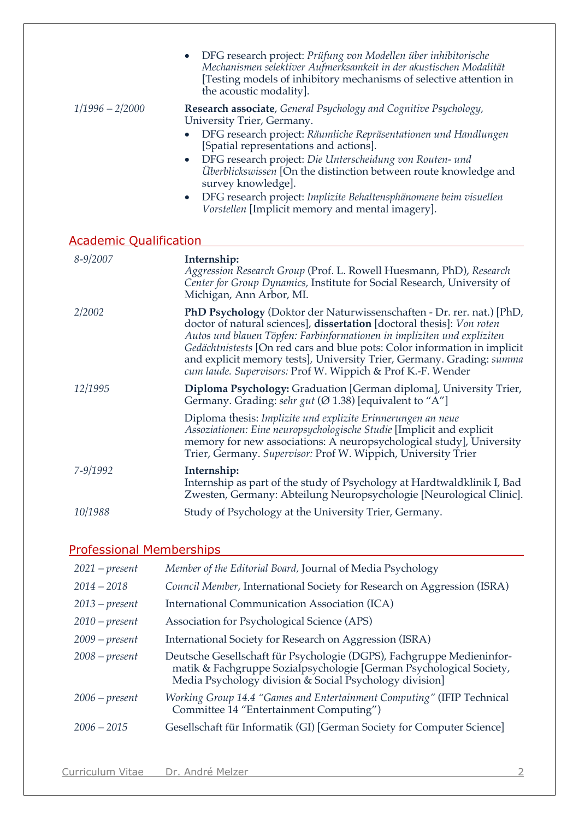|                               | DFG research project: Prüfung von Modellen über inhibitorische<br>$\bullet$<br>Mechanismen selektiver Aufmerksamkeit in der akustischen Modalität<br>[Testing models of inhibitory mechanisms of selective attention in<br>the acoustic modality].                                                                                                                                                                                                                                                                                |
|-------------------------------|-----------------------------------------------------------------------------------------------------------------------------------------------------------------------------------------------------------------------------------------------------------------------------------------------------------------------------------------------------------------------------------------------------------------------------------------------------------------------------------------------------------------------------------|
| $1/1996 - 2/2000$             | Research associate, General Psychology and Cognitive Psychology,<br>University Trier, Germany.<br>DFG research project: Räumliche Repräsentationen und Handlungen<br>$\bullet$<br>[Spatial representations and actions].<br>DFG research project: Die Unterscheidung von Routen- und<br>$\bullet$<br>Überblickswissen [On the distinction between route knowledge and<br>survey knowledge].<br>DFG research project: Implizite Behaltensphänomene beim visuellen<br>$\bullet$<br>Vorstellen [Implicit memory and mental imagery]. |
| <b>Academic Qualification</b> |                                                                                                                                                                                                                                                                                                                                                                                                                                                                                                                                   |
| $8 - 9/2007$                  | Internship:<br>Aggression Research Group (Prof. L. Rowell Huesmann, PhD), Research<br>Center for Group Dynamics, Institute for Social Research, University of<br>Michigan, Ann Arbor, MI.                                                                                                                                                                                                                                                                                                                                         |
| 2/2002                        | PhD Psychology (Doktor der Naturwissenschaften - Dr. rer. nat.) [PhD,<br>doctor of natural sciences], <b>dissertation</b> [doctoral thesis]: Von roten<br>Autos und blauen Töpfen: Farbinformationen in impliziten und expliziten<br>Gedächtnistests [On red cars and blue pots: Color information in implicit<br>and explicit memory tests], University Trier, Germany. Grading: summa<br>cum laude. Supervisors: Prof W. Wippich & Prof K.-F. Wender                                                                            |
| 12/1995                       | Diploma Psychology: Graduation [German diploma], University Trier,<br>Germany. Grading: sehr gut ( $\varnothing$ 1.38) [equivalent to "A"]                                                                                                                                                                                                                                                                                                                                                                                        |
|                               | Diploma thesis: Implizite und explizite Erinnerungen an neue<br>Assoziationen: Eine neuropsychologische Studie [Implicit and explicit<br>memory for new associations: A neuropsychological study], University<br>Trier, Germany. Supervisor: Prof W. Wippich, University Trier                                                                                                                                                                                                                                                    |
| 7-9/1992                      | Internship:<br>Internship as part of the study of Psychology at Hardtwaldklinik I, Bad<br>Zwesten, Germany: Abteilung Neuropsychologie [Neurological Clinic].                                                                                                                                                                                                                                                                                                                                                                     |
| 10/1988                       | Study of Psychology at the University Trier, Germany.                                                                                                                                                                                                                                                                                                                                                                                                                                                                             |

# Professional Memberships<br>
Professional Memberships

| $2021 - present$ | Member of the Editorial Board, Journal of Media Psychology                                                                                                                                              |
|------------------|---------------------------------------------------------------------------------------------------------------------------------------------------------------------------------------------------------|
| $2014 - 2018$    | Council Member, International Society for Research on Aggression (ISRA)                                                                                                                                 |
| $2013 - present$ | International Communication Association (ICA)                                                                                                                                                           |
| $2010$ – present | Association for Psychological Science (APS)                                                                                                                                                             |
| $2009 - present$ | International Society for Research on Aggression (ISRA)                                                                                                                                                 |
| $2008 - present$ | Deutsche Gesellschaft für Psychologie (DGPS), Fachgruppe Medieninfor-<br>matik & Fachgruppe Sozialpsychologie [German Psychological Society,<br>Media Psychology division & Social Psychology division] |
| $2006 - present$ | Working Group 14.4 "Games and Entertainment Computing" (IFIP Technical<br>Committee 14 "Entertainment Computing")                                                                                       |
| $2006 - 2015$    | Gesellschaft für Informatik (GI) [German Society for Computer Science]                                                                                                                                  |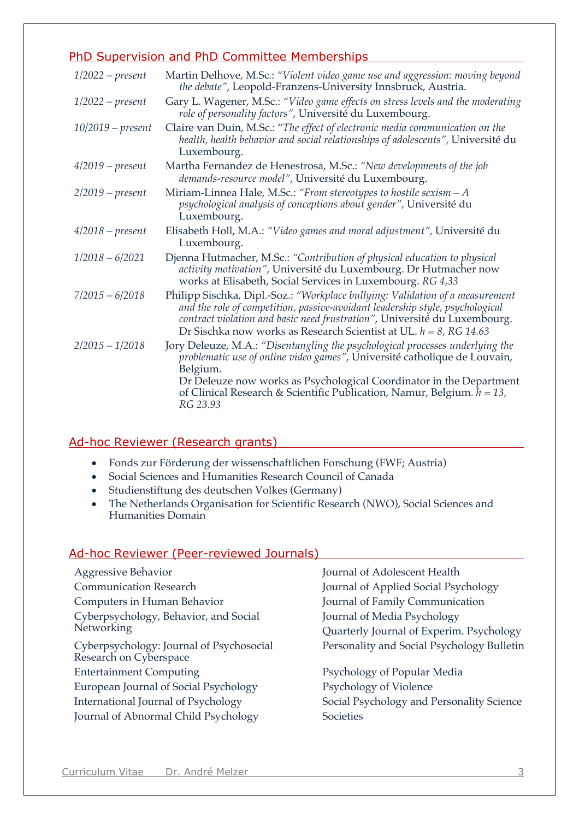# PhD Supervision and PhD Committee Memberships

| $1/2022$ – present  | Martin Delhove, M.Sc.: "Violent video game use and aggression: moving beyond<br>the debate", Leopold-Franzens-University Innsbruck, Austria.                                                                                                                                                                                           |
|---------------------|----------------------------------------------------------------------------------------------------------------------------------------------------------------------------------------------------------------------------------------------------------------------------------------------------------------------------------------|
| $1/2022$ – present  | Gary L. Wagener, M.Sc.: "Video game effects on stress levels and the moderating<br>role of personality factors", Université du Luxembourg.                                                                                                                                                                                             |
| $10/2019 - present$ | Claire van Duin, M.Sc.: "The effect of electronic media communication on the<br>health, health behavior and social relationships of adolescents", Université du<br>Luxembourg.                                                                                                                                                         |
| $4/2019$ – present  | Martha Fernandez de Henestrosa, M.Sc.: "New developments of the job<br>demands-resource model", Université du Luxembourg.                                                                                                                                                                                                              |
| $2/2019$ – present  | Miriam-Linnea Hale, M.Sc.: "From stereotypes to hostile sexism $-A$<br>psychological analysis of conceptions about gender", Université du<br>Luxembourg.                                                                                                                                                                               |
| $4/2018$ – present  | Elisabeth Holl, M.A.: "Video games and moral adjustment", Université du<br>Luxembourg.                                                                                                                                                                                                                                                 |
| $1/2018 - 6/2021$   | Djenna Hutmacher, M.Sc.: "Contribution of physical education to physical<br>activity motivation", Université du Luxembourg. Dr Hutmacher now<br>works at Elisabeth, Social Services in Luxembourg. RG 4,33                                                                                                                             |
| $7/2015 - 6/2018$   | Philipp Sischka, Dipl.-Soz.: "Workplace bullying: Validation of a measurement<br>and the role of competition, passive-avoidant leadership style, psychological<br>contract violation and basic need frustration", Université du Luxembourg.<br>Dr Sischka now works as Research Scientist at UL. $h = 8$ , RG 14.63                    |
| $2/2015 - 1/2018$   | Jory Deleuze, M.A.: "Disentangling the psychological processes underlying the<br>problematic use of online video games", Université catholique de Louvain,<br>Belgium.<br>Dr Deleuze now works as Psychological Coordinator in the Department<br>of Clinical Research & Scientific Publication, Namur, Belgium. $h = 13$ ,<br>RG 23.93 |

# Ad-hoc Reviewer (Research grants)

- Fonds zur Förderung der wissenschaftlichen Forschung (FWF; Austria)
- Social Sciences and Humanities Research Council of Canada
- Studienstiftung des deutschen Volkes (Germany)
- The Netherlands Organisation for Scientific Research (NWO), Social Sciences and Humanities Domain

# Ad-hoc Reviewer (Peer-reviewed Journals)

| Aggressive Behavior                                                | Journal of Adolescent Health               |
|--------------------------------------------------------------------|--------------------------------------------|
| <b>Communication Research</b>                                      | Journal of Applied Social Psychology       |
| Computers in Human Behavior                                        | Journal of Family Communication            |
| Cyberpsychology, Behavior, and Social                              | Journal of Media Psychology                |
| Networking                                                         | Quarterly Journal of Experim. Psychology   |
| Cyberpsychology: Journal of Psychosocial<br>Research on Cyberspace | Personality and Social Psychology Bulletin |
| <b>Entertainment Computing</b>                                     | Psychology of Popular Media                |
| European Journal of Social Psychology                              | Psychology of Violence                     |
| International Journal of Psychology                                | Social Psychology and Personality Science  |
| Journal of Abnormal Child Psychology                               | Societies                                  |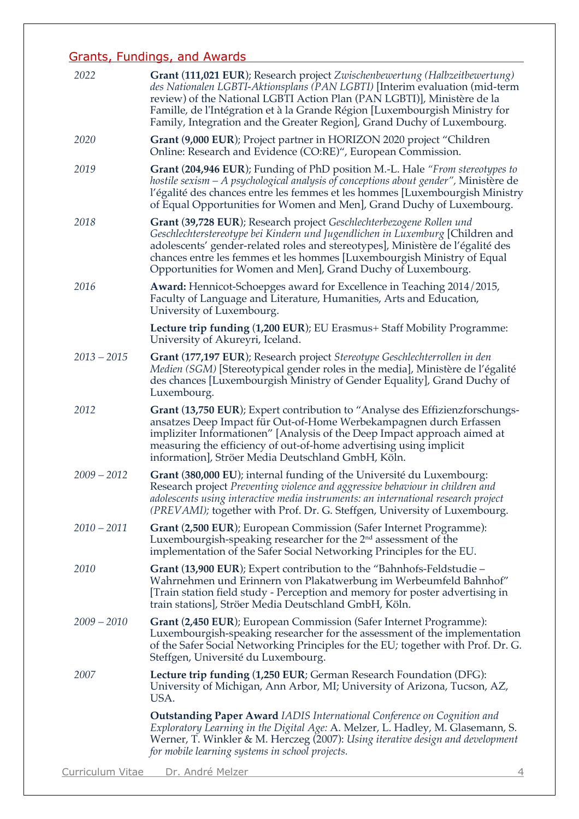# Grants, Fundings, and Awards

| 2022                    | Grant (111,021 EUR); Research project Zwischenbewertung (Halbzeitbewertung)<br>des Nationalen LGBTI-Aktionsplans (PAN LGBTI) [Interim evaluation (mid-term<br>review) of the National LGBTI Action Plan (PAN LGBTI)], Ministère de la<br>Famille, de l'Intégration et à la Grande Région [Luxembourgish Ministry for<br>Family, Integration and the Greater Region], Grand Duchy of Luxembourg. |
|-------------------------|-------------------------------------------------------------------------------------------------------------------------------------------------------------------------------------------------------------------------------------------------------------------------------------------------------------------------------------------------------------------------------------------------|
| 2020                    | Grant (9,000 EUR); Project partner in HORIZON 2020 project "Children<br>Online: Research and Evidence (CO:RE)", European Commission.                                                                                                                                                                                                                                                            |
| 2019                    | Grant (204,946 EUR); Funding of PhD position M.-L. Hale "From stereotypes to<br>hostile sexism – A psychological analysis of conceptions about gender", Ministère de<br>l'égalité des chances entre les femmes et les hommes [Luxembourgish Ministry<br>of Equal Opportunities for Women and Men], Grand Duchy of Luxembourg.                                                                   |
| 2018                    | Grant (39,728 EUR); Research project Geschlechterbezogene Rollen und<br>Geschlechterstereotype bei Kindern und Jugendlichen in Luxemburg [Children and<br>adolescents' gender-related roles and stereotypes], Ministère de l'égalité des<br>chances entre les femmes et les hommes [Luxembourgish Ministry of Equal<br>Opportunities for Women and Men], Grand Duchy of Luxembourg.             |
| 2016                    | <b>Award:</b> Hennicot-Schoepges award for Excellence in Teaching 2014/2015,<br>Faculty of Language and Literature, Humanities, Arts and Education,<br>University of Luxembourg.                                                                                                                                                                                                                |
|                         | Lecture trip funding (1,200 EUR); EU Erasmus+ Staff Mobility Programme:<br>University of Akureyri, Iceland.                                                                                                                                                                                                                                                                                     |
| $2013 - 2015$           | Grant (177,197 EUR); Research project Stereotype Geschlechterrollen in den<br>Medien (SGM) [Stereotypical gender roles in the media], Ministère de l'égalité<br>des chances [Luxembourgish Ministry of Gender Equality], Grand Duchy of<br>Luxembourg.                                                                                                                                          |
| 2012                    | Grant (13,750 EUR); Expert contribution to "Analyse des Effizienzforschungs-<br>ansatzes Deep Impact für Out-of-Home Werbekampagnen durch Erfassen<br>impliziter Informationen" [Analysis of the Deep Impact approach aimed at<br>measuring the efficiency of out-of-home advertising using implicit<br>information], Ströer Media Deutschland GmbH, Köln.                                      |
| $2009 - 2012$           | Grant (380,000 EU); internal funding of the Université du Luxembourg:<br>Research project Preventing violence and aggressive behaviour in children and<br>adolescents using interactive media instruments: an international research project<br>(PREVAMI); together with Prof. Dr. G. Steffgen, University of Luxembourg.                                                                       |
| $2010 - 2011$           | Grant (2,500 EUR); European Commission (Safer Internet Programme):<br>Luxembourgish-speaking researcher for the $2nd$ assessment of the<br>implementation of the Safer Social Networking Principles for the EU.                                                                                                                                                                                 |
| 2010                    | Grant (13,900 EUR); Expert contribution to the "Bahnhofs-Feldstudie –<br>Wahrnehmen und Erinnern von Plakatwerbung im Werbeumfeld Bahnhof"<br>[Train station field study - Perception and memory for poster advertising in<br>train stations], Ströer Media Deutschland GmbH, Köln.                                                                                                             |
| $2009 - 2010$           | Grant (2,450 EUR); European Commission (Safer Internet Programme):<br>Luxembourgish-speaking researcher for the assessment of the implementation<br>of the Safer Social Networking Principles for the EU; together with Prof. Dr. G.<br>Steffgen, Université du Luxembourg.                                                                                                                     |
| 2007                    | <b>Lecture trip funding (1,250 EUR; German Research Foundation (DFG):</b><br>University of Michigan, Ann Arbor, MI; University of Arizona, Tucson, AZ,<br>USA.                                                                                                                                                                                                                                  |
|                         | <b>Outstanding Paper Award IADIS International Conference on Cognition and</b><br>Exploratory Learning in the Digital Age: A. Melzer, L. Hadley, M. Glasemann, S.<br>Werner, T. Winkler & M. Herczeg (2007): Using iterative design and development<br>for mobile learning systems in school projects.                                                                                          |
| <b>Curriculum Vitae</b> | <u>Dr. André Melzer</u><br>$\overline{4}$                                                                                                                                                                                                                                                                                                                                                       |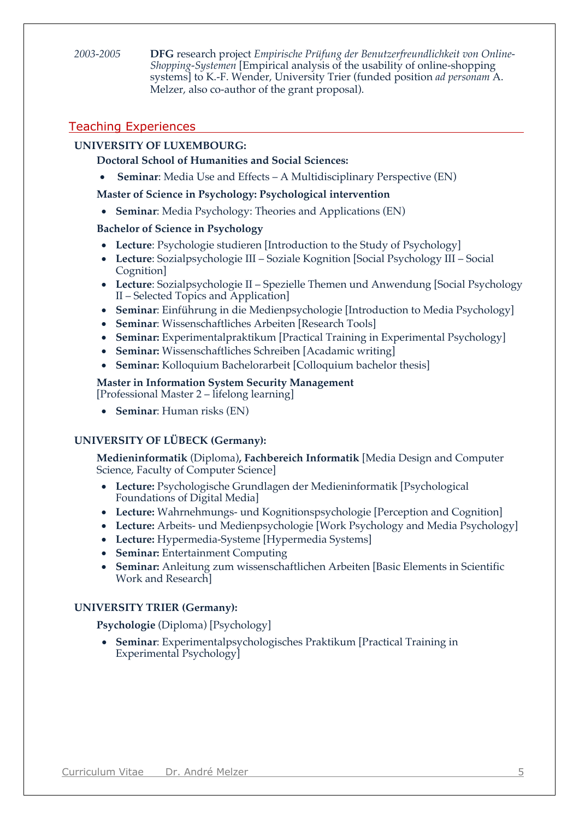*2003-2005* **DFG** research project *Empirische Prüfung der Benutzerfreundlichkeit von Online-Shopping-Systemen* [Empirical analysis of the usability of online-shopping systems] to K.-F. Wender, University Trier (funded position *ad personam* A. Melzer, also co-author of the grant proposal).

# Teaching Experiences

## **UNIVERSITY OF LUXEMBOURG:**

### **Doctoral School of Humanities and Social Sciences:**

• **Seminar:** Media Use and Effects – A Multidisciplinary Perspective (EN)

#### **Master of Science in Psychology: Psychological intervention**

• **Seminar**: Media Psychology: Theories and Applications (EN)

#### **Bachelor of Science in Psychology**

- Lecture: Psychologie studieren [Introduction to the Study of Psychology]
- **Lecture**: Sozialpsychologie III Soziale Kognition [Social Psychology III Social Cognition]
- **Lecture**: Sozialpsychologie II Spezielle Themen und Anwendung [Social Psychology II – Selected Topics and Application]
- **Seminar**: Einführung in die Medienpsychologie [Introduction to Media Psychology]
- **Seminar**: Wissenschaftliches Arbeiten [Research Tools]
- **Seminar:** Experimentalpraktikum [Practical Training in Experimental Psychology]
- **Seminar:** Wissenschaftliches Schreiben [Acadamic writing]
- **Seminar:** Kolloquium Bachelorarbeit [Colloquium bachelor thesis]

#### **Master in Information System Security Management**

[Professional Master 2 – lifelong learning]

• **Seminar**: Human risks (EN)

### **UNIVERSITY OF LÜBECK (Germany):**

**Medieninformatik** (Diploma)**, Fachbereich Informatik** [Media Design and Computer Science, Faculty of Computer Science]

- **Lecture:** Psychologische Grundlagen der Medieninformatik [Psychological Foundations of Digital Media]
- **Lecture:** Wahrnehmungs- und Kognitionspsychologie [Perception and Cognition]
- Lecture: Arbeits- und Medienpsychologie [Work Psychology and Media Psychology]
- **Lecture:** Hypermedia-Systeme [Hypermedia Systems]
- **Seminar:** Entertainment Computing
- **Seminar:** Anleitung zum wissenschaftlichen Arbeiten [Basic Elements in Scientific Work and Research]

#### **UNIVERSITY TRIER (Germany):**

**Psychologie** (Diploma) [Psychology]

• **Seminar**: Experimentalpsychologisches Praktikum [Practical Training in Experimental Psychology]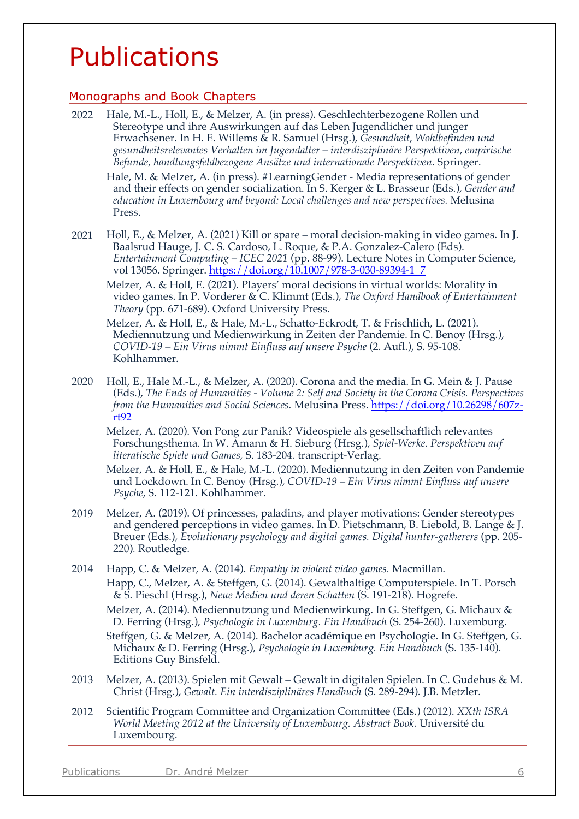# Publications

## Monographs and Book Chapters

2022 Hale, M.-L., Holl, E., & Melzer, A. (in press). Geschlechterbezogene Rollen und Stereotype und ihre Auswirkungen auf das Leben Jugendlicher und junger Erwachsener. In H. E. Willems & R. Samuel (Hrsg.), *Gesundheit, Wohlbefinden und gesundheitsrelevantes Verhalten im Jugendalter – interdisziplinäre Perspektiven, empirische Befunde, handlungsfeldbezogene Ansätze und internationale Perspektiven*. Springer.

Hale, M. & Melzer, A. (in press). #LearningGender - Media representations of gender and their effects on gender socialization. In S. Kerger & L. Brasseur (Eds.), *Gender and education in Luxembourg and beyond: Local challenges and new perspectives.* Melusina Press.

- 2021 Holl, E., & Melzer, A. (2021) Kill or spare moral decision-making in video games. In J. Baalsrud Hauge, J. C. S. Cardoso, L. Roque, & P.A. Gonzalez-Calero (Eds). *Entertainment Computing – ICEC 2021* (pp. 88-99). Lecture Notes in Computer Science, vol 13056. Springer. https://doi.org/10.1007/978-3-030-89394-1\_7
	- Melzer, A. & Holl, E. (2021). Players' moral decisions in virtual worlds: Morality in video games. In P. Vorderer & C. Klimmt (Eds.), *The Oxford Handbook of Entertainment Theory* (pp. 671-689)*.* Oxford University Press.

Melzer, A. & Holl, E., & Hale, M.-L., Schatto-Eckrodt, T. & Frischlich, L. (2021). Mediennutzung und Medienwirkung in Zeiten der Pandemie. In C. Benoy (Hrsg.), *COVID-19 – Ein Virus nimmt Einfluss auf unsere Psyche* (2. Aufl.), S. 95-108. Kohlhammer.

2020 Holl, E., Hale M.-L., & Melzer, A. (2020). Corona and the media. In G. Mein & J. Pause (Eds.), *The Ends of Humanities - Volume 2: Self and Society in the Corona Crisis. Perspectives from the Humanities and Social Sciences.* Melusina Press. https://doi.org/10.26298/607zrt92

Melzer, A. (2020). Von Pong zur Panik? Videospiele als gesellschaftlich relevantes Forschungsthema. In W. Amann & H. Sieburg (Hrsg.), *Spiel-Werke. Perspektiven auf literatische Spiele und Games,* S. 183-204*.* transcript-Verlag.

Melzer, A. & Holl, E., & Hale, M.-L. (2020). Mediennutzung in den Zeiten von Pandemie und Lockdown. In C. Benoy (Hrsg.), *COVID-19 – Ein Virus nimmt Einfluss auf unsere Psyche*, S. 112-121. Kohlhammer.

- 2019 Melzer, A. (2019). Of princesses, paladins, and player motivations: Gender stereotypes and gendered perceptions in video games. In D. Pietschmann, B. Liebold, B. Lange & J. Breuer (Eds.), *Evolutionary psychology and digital games. Digital hunter-gatherers* (pp. 205- 220)*.* Routledge.
- 2014 Happ, C. & Melzer, A. (2014). *Empathy in violent video games.* Macmillan. Happ, C., Melzer, A. & Steffgen, G. (2014). Gewalthaltige Computerspiele. In T. Porsch & S. Pieschl (Hrsg.), *Neue Medien und deren Schatten* (S. 191-218). Hogrefe. Melzer, A. (2014). Mediennutzung und Medienwirkung. In G. Steffgen, G. Michaux & D. Ferring (Hrsg.), *Psychologie in Luxemburg. Ein Handbuch* (S. 254-260). Luxemburg. Steffgen, G. & Melzer, A. (2014). Bachelor académique en Psychologie. In G. Steffgen, G. Michaux & D. Ferring (Hrsg.), *Psychologie in Luxemburg. Ein Handbuch* (S. 135-140). Editions Guy Binsfeld.
- 2013 Melzer, A. (2013). Spielen mit Gewalt Gewalt in digitalen Spielen. In C. Gudehus & M. Christ (Hrsg.), *Gewalt. Ein interdisziplinäres Handbuch* (S. 289-294)*.* J.B. Metzler.
- 2012 Scientific Program Committee and Organization Committee (Eds.) (2012). *XXth ISRA World Meeting 2012 at the University of Luxembourg. Abstract Book.* Université du Luxembourg.

Publications Dr. André Melzer 6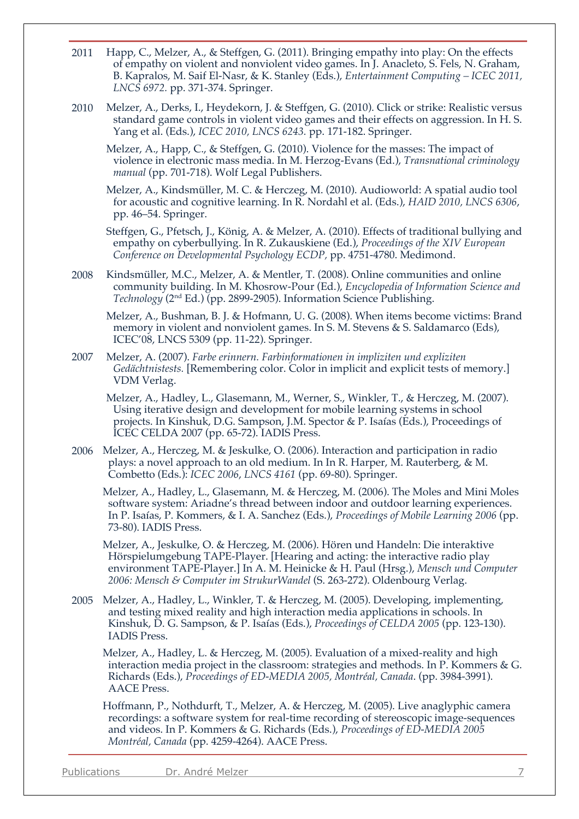- 2011 Happ, C., Melzer, A., & Steffgen, G. (2011). Bringing empathy into play: On the effects of empathy on violent and nonviolent video games. In J. Anacleto, S. Fels, N. Graham, B. Kapralos, M. Saif El-Nasr, & K. Stanley (Eds.), *Entertainment Computing – ICEC 2011, LNCS 6972.* pp. 371-374. Springer.
- 2010 Melzer, A., Derks, I., Heydekorn, J. & Steffgen, G. (2010). Click or strike: Realistic versus standard game controls in violent video games and their effects on aggression. In H. S. Yang et al. (Eds.), *ICEC 2010, LNCS 6243.* pp. 171-182. Springer.
	- Melzer, A., Happ, C., & Steffgen, G. (2010). Violence for the masses: The impact of violence in electronic mass media. In M. Herzog-Evans (Ed.), *Transnational criminology manual* (pp. 701-718). Wolf Legal Publishers.
	- Melzer, A., Kindsmüller, M. C. & Herczeg, M. (2010). Audioworld: A spatial audio tool for acoustic and cognitive learning. In R. Nordahl et al. (Eds.), *HAID 2010, LNCS 6306*, pp. 46–54. Springer.

Steffgen, G., Pfetsch, J., König, A. & Melzer, A. (2010). Effects of traditional bullying and empathy on cyberbullying. In R. Zukauskiene (Ed.), *Proceedings of the XIV European Conference on Developmental Psychology ECDP,* pp. 4751-4780. Medimond.

2008 Kindsmüller, M.C., Melzer, A. & Mentler, T. (2008). Online communities and online community building. In M. Khosrow-Pour (Ed.), *Encyclopedia of Information Science and Technology* (2nd Ed.) (pp. 2899-2905). Information Science Publishing.

Melzer, A., Bushman, B. J. & Hofmann, U. G. (2008). When items become victims: Brand memory in violent and nonviolent games. In S. M. Stevens & S. Saldamarco (Eds), ICEC'08, LNCS 5309 (pp. 11-22). Springer.

2007 Melzer, A. (2007). *Farbe erinnern. Farbinformationen in impliziten und expliziten Gedächtnistests.* [Remembering color. Color in implicit and explicit tests of memory.] VDM Verlag.

Melzer, A., Hadley, L., Glasemann, M., Werner, S., Winkler, T., & Herczeg, M. (2007). Using iterative design and development for mobile learning systems in school projects. In Kinshuk, D.G. Sampson, J.M. Spector & P. Isaías (Eds.), Proceedings of ICEC CELDA 2007 (pp. 65-72). IADIS Press.

2006 Melzer, A., Herczeg, M. & Jeskulke, O. (2006). Interaction and participation in radio plays: a novel approach to an old medium. In In R. Harper, M. Rauterberg, & M. Combetto (Eds.): *ICEC 2006*, *LNCS 4161* (pp. 69-80). Springer.

Melzer, A., Hadley, L., Glasemann, M. & Herczeg, M. (2006). The Moles and Mini Moles software system: Ariadne's thread between indoor and outdoor learning experiences. In P. Isaías, P. Kommers, & I. A. Sanchez (Eds.), *Proceedings of Mobile Learning 2006* (pp. 73-80). IADIS Press.

Melzer, A., Jeskulke, O. & Herczeg, M. (2006). Hören und Handeln: Die interaktive Hörspielumgebung TAPE-Player. [Hearing and acting: the interactive radio play environment TAPE-Player.] In A. M. Heinicke & H. Paul (Hrsg.), *Mensch und Computer 2006: Mensch & Computer im StrukurWandel* (S. 263-272). Oldenbourg Verlag.

2005 Melzer, A., Hadley, L., Winkler, T. & Herczeg, M. (2005). Developing, implementing, and testing mixed reality and high interaction media applications in schools. In Kinshuk, D. G. Sampson, & P. Isaías (Eds.), *Proceedings of CELDA 2005* (pp. 123-130). IADIS Press.

Melzer, A., Hadley, L. & Herczeg, M. (2005). Evaluation of a mixed-reality and high interaction media project in the classroom: strategies and methods. In P. Kommers & G. Richards (Eds.), *Proceedings of ED-MEDIA 2005, Montréal, Canada*. (pp. 3984-3991). AACE Press.

Hoffmann, P., Nothdurft, T., Melzer, A. & Herczeg, M. (2005). Live anaglyphic camera recordings: a software system for real-time recording of stereoscopic image-sequences and videos. In P. Kommers & G. Richards (Eds.), *Proceedings of ED-MEDIA 2005 Montréal, Canada* (pp. 4259-4264). AACE Press.

Publications Dr. André Melzer 7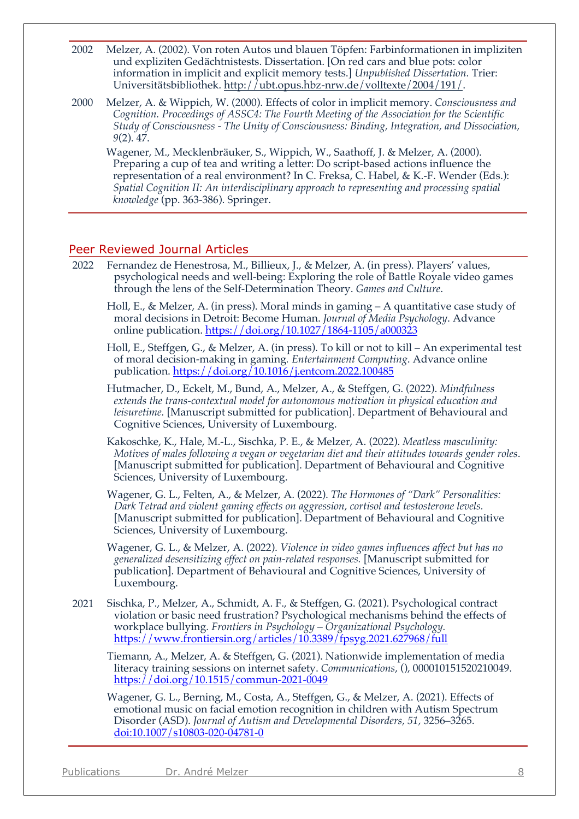- 2002 Melzer, A. (2002). Von roten Autos und blauen Töpfen: Farbinformationen in impliziten und expliziten Gedächtnistests. Dissertation. [On red cars and blue pots: color information in implicit and explicit memory tests.] *Unpublished Dissertation.* Trier: Universitätsbibliothek. http://ubt.opus.hbz-nrw.de/volltexte/2004/191/.
- 2000 Melzer, A. & Wippich, W. (2000). Effects of color in implicit memory. *Consciousness and Cognition. Proceedings of ASSC4: The Fourth Meeting of the Association for the Scientific Study of Consciousness - The Unity of Consciousness: Binding, Integration, and Dissociation, 9*(2). 47.

Wagener, M., Mecklenbräuker, S., Wippich, W., Saathoff, J. & Melzer, A. (2000). Preparing a cup of tea and writing a letter: Do script-based actions influence the representation of a real environment? In C. Freksa, C. Habel, & K.-F. Wender (Eds.): *Spatial Cognition II: An interdisciplinary approach to representing and processing spatial knowledge* (pp. 363-386). Springer.

#### Peer Reviewed Journal Articles

- 2022 Fernandez de Henestrosa, M., Billieux, J., & Melzer, A. (in press). Players' values, psychological needs and well-being: Exploring the role of Battle Royale video games through the lens of the Self-Determination Theory. *Games and Culture*.
	- Holl, E., & Melzer, A. (in press). Moral minds in gaming  $-A$  quantitative case study of moral decisions in Detroit: Become Human. *Journal of Media Psychology*. Advance online publication. https://doi.org/10.1027/1864-1105/a000323
	- Holl, E., Steffgen, G., & Melzer, A. (in press). To kill or not to kill An experimental test of moral decision-making in gaming*. Entertainment Computing*. Advance online publication. https://doi.org/10.1016/j.entcom.2022.100485
	- Hutmacher, D., Eckelt, M., Bund, A., Melzer, A., & Steffgen, G. (2022). *Mindfulness extends the trans-contextual model for autonomous motivation in physical education and leisuretime.* [Manuscript submitted for publication]. Department of Behavioural and Cognitive Sciences, University of Luxembourg.
	- Kakoschke, K., Hale, M.-L., Sischka, P. E., & Melzer, A. (2022). *Meatless masculinity: Motives of males following a vegan or vegetarian diet and their attitudes towards gender roles*. [Manuscript submitted for publication]. Department of Behavioural and Cognitive Sciences, University of Luxembourg.
	- Wagener, G. L., Felten, A., & Melzer, A. (2022). *The Hormones of "Dark" Personalities: Dark Tetrad and violent gaming effects on aggression, cortisol and testosterone levels.*  [Manuscript submitted for publication]. Department of Behavioural and Cognitive Sciences, University of Luxembourg.
	- Wagener, G. L., & Melzer, A. (2022). *Violence in video games influences affect but has no generalized desensitizing effect on pain-related responses.* [Manuscript submitted for publication]. Department of Behavioural and Cognitive Sciences, University of Luxembourg.
- 2021 Sischka, P., Melzer, A., Schmidt, A. F., & Steffgen, G. (2021). Psychological contract violation or basic need frustration? Psychological mechanisms behind the effects of workplace bullying*. Frontiers in Psychology – Organizational Psychology.* https://www.frontiersin.org/articles/10.3389/fpsyg.2021.627968/full

Tiemann, A., Melzer, A. & Steffgen, G. (2021). Nationwide implementation of media literacy training sessions on internet safety. *Communications*, (), 000010151520210049. https://doi.org/10.1515/commun-2021-0049

Wagener, G. L., Berning, M., Costa, A., Steffgen, G., & Melzer, A. (2021). Effects of emotional music on facial emotion recognition in children with Autism Spectrum Disorder (ASD). *Journal of Autism and Developmental Disorders, 51, 3256–3265*. doi:10.1007/s10803-020-04781-0

| <b>Publications</b><br>Dr. André Melzer |  |
|-----------------------------------------|--|
|-----------------------------------------|--|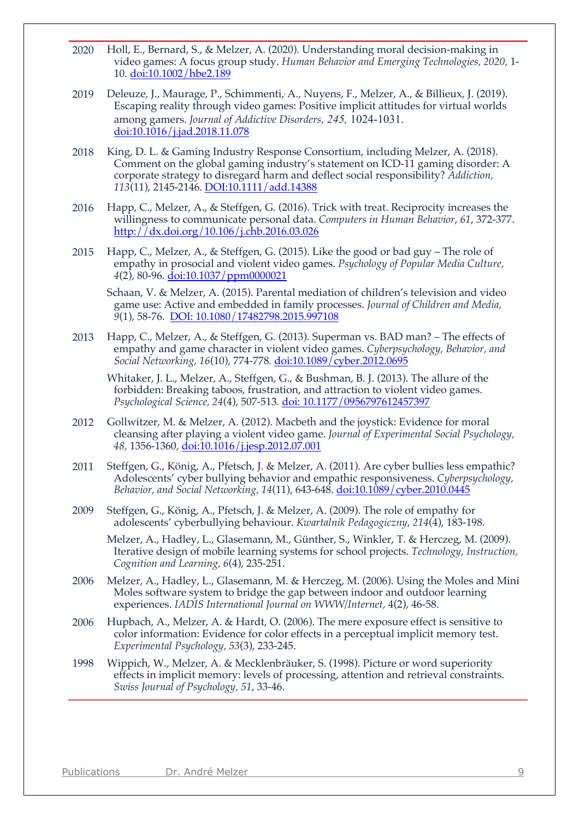- 2020 Holl, E., Bernard, S., & Melzer, A. (2020). Understanding moral decision-making in video games: A focus group study. *Human Behavior and Emerging Technologies, 2020,* 1- 10. doi:10.1002/hbe2.189
- 2019 Deleuze, J., Maurage, P., Schimmenti, A., Nuyens, F., Melzer, A., & Billieux, J. (2019). Escaping reality through video games: Positive implicit attitudes for virtual worlds among gamers. *Journal of Addictive Disorders, 245,* 1024-1031. doi:10.1016/j.jad.2018.11.078
- 2018 King, D. L. & Gaming Industry Response Consortium, including Melzer, A. (2018). Comment on the global gaming industry's statement on ICD-11 gaming disorder: A corporate strategy to disregard harm and deflect social responsibility? *Addiction, 113*(11), 2145-2146. DOI:10.1111/add.14388
- 2016 Happ, C., Melzer, A., & Steffgen, G. (2016). Trick with treat. Reciprocity increases the willingness to communicate personal data. *Computers in Human Behavior*, *61*, 372-377. http://dx.doi.org/10.106/j.chb.2016.03.026
- 2015 Happ, C., Melzer, A., & Steffgen, G. (2015). Like the good or bad guy The role of empathy in prosocial and violent video games. *Psychology of Popular Media Culture, 4*(2), 80-96*.* doi:10.1037/ppm0000021

Schaan, V. & Melzer, A. (2015). Parental mediation of children's television and video game use: Active and embedded in family processes. *Journal of Children and Media, 9*(1), 58-76. DOI: 10.1080/17482798.2015.997108

2013 Happ, C., Melzer, A., & Steffgen, G. (2013). Superman vs. BAD man? – The effects of empathy and game character in violent video games. *Cyberpsychology, Behavior, and Social Networking, 16*(10), 774-778*.* doi:10.1089/cyber.2012.0695

Whitaker, J. L., Melzer, A., Steffgen, G., & Bushman, B. J. (2013). The allure of the forbidden: Breaking taboos, frustration, and attraction to violent video games. *Psychological Science, 24*(4), 507-513*.* doi: 10.1177/0956797612457397

- 2012 Gollwitzer, M. & Melzer, A. (2012). Macbeth and the joystick: Evidence for moral cleansing after playing a violent video game. *Journal of Experimental Social Psychology, 48,* 1356-1360*,* doi:10.1016/j.jesp.2012.07.001
- 2011 Steffgen, G., König, A., Pfetsch, J. & Melzer, A. (2011). Are cyber bullies less empathic? Adolescents' cyber bullying behavior and empathic responsiveness. *Cyberpsychology, Behavior, and Social Networking, 14*(11), 643-648. doi:10.1089/cyber.2010.0445
- 2009 Steffgen, G., König, A., Pfetsch, J. & Melzer, A. (2009). The role of empathy for adolescents' cyberbullying behaviour. *Kwartalnik Pedagogiczny, 214*(4), 183-198*.*

Melzer, A., Hadley, L., Glasemann, M., Günther, S., Winkler, T. & Herczeg, M. (2009). Iterative design of mobile learning systems for school projects. *Technology, Instruction, Cognition and Learning, 6*(4), 235-251.

- 2006 Melzer, A., Hadley, L., Glasemann, M. & Herczeg, M. (2006). Using the Moles and Mini Moles software system to bridge the gap between indoor and outdoor learning experiences. *IADIS International Journal on WWW/Internet,* 4(2), 46-58.
- 2006 Hupbach, A., Melzer, A. & Hardt, O. (2006). The mere exposure effect is sensitive to color information: Evidence for color effects in a perceptual implicit memory test. *Experimental Psychology, 53*(3), 233-245.
- 1998 Wippich, W., Melzer, A. & Mecklenbräuker, S. (1998). Picture or word superiority effects in implicit memory: levels of processing, attention and retrieval constraints. *Swiss Journal of Psychology, 51*, 33-46.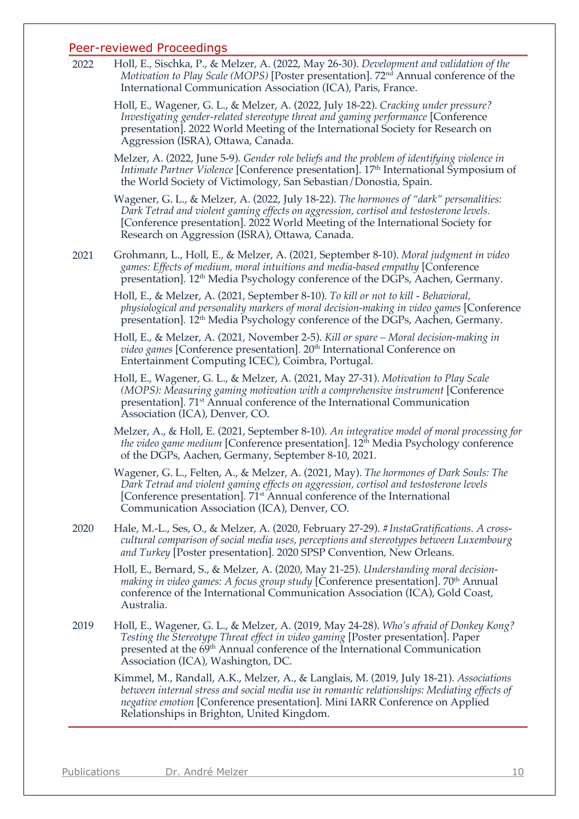#### Peer-reviewed Proceedings

2022 Holl, E., Sischka, P., & Melzer, A. (2022, May 26-30). *Development and validation of the Motivation to Play Scale (MOPS)* [Poster presentation]. 72<sup>nd</sup> Annual conference of the International Communication Association (ICA), Paris, France.

Holl, E., Wagener, G. L., & Melzer, A. (2022, July 18-22). *Cracking under pressure? Investigating gender-related stereotype threat and gaming performance* [Conference presentation]. 2022 World Meeting of the International Society for Research on Aggression (ISRA), Ottawa, Canada.

Melzer, A. (2022, June 5-9). *Gender role beliefs and the problem of identifying violence in Intimate Partner Violence* [Conference presentation]. 17th International Symposium of the World Society of Victimology, San Sebastian/Donostia, Spain.

Wagener, G. L., & Melzer, A. (2022, July 18-22). *The hormones of "dark" personalities: Dark Tetrad and violent gaming effects on aggression, cortisol and testosterone levels.* [Conference presentation]. 2022 World Meeting of the International Society for Research on Aggression (ISRA), Ottawa, Canada.

2021 Grohmann, L., Holl, E., & Melzer, A. (2021, September 8-10). *Moral judgment in video games: Effects of medium, moral intuitions and media-based empathy* [Conference presentation]. 12<sup>th</sup> Media Psychology conference of the DGPs, Aachen, Germany.

Holl, E., & Melzer, A. (2021, September 8-10). *To kill or not to kill - Behavioral, physiological and personality markers of moral decision-making in video games* [Conference presentation]*.* 12th Media Psychology conference of the DGPs, Aachen, Germany.

Holl, E., & Melzer, A. (2021, November 2-5). *Kill or spare – Moral decision-making in video games* [Conference presentation]. 20<sup>th</sup> International Conference on Entertainment Computing ICEC), Coimbra, Portugal.

Holl, E., Wagener, G. L., & Melzer, A. (2021, May 27-31). *Motivation to Play Scale (MOPS): Measuring gaming motivation with a comprehensive instrument* [Conference presentation]*.* 71st Annual conference of the International Communication Association (ICA), Denver, CO.

Melzer, A., & Holl, E. (2021, September 8-10). *An integrative model of moral processing for the video game medium* [Conference presentation]. 12<sup>th</sup> Media Psychology conference of the DGPs, Aachen, Germany, September 8-10, 2021.

Wagener, G. L., Felten, A., & Melzer, A. (2021, May). *The hormones of Dark Souls: The Dark Tetrad and violent gaming effects on aggression, cortisol and testosterone levels* [Conference presentation]*.* 71st Annual conference of the International Communication Association (ICA), Denver, CO.

2020 Hale, M.-L., Ses, O., & Melzer, A. (2020, February 27-29). *#InstaGratifications. A crosscultural comparison of social media uses, perceptions and stereotypes between Luxembourg and Turkey* [Poster presentation]*.* 2020 SPSP Convention, New Orleans.

Holl, E., Bernard, S., & Melzer, A. (2020, May 21-25). *Understanding moral decisionmaking in video games: A focus group study* [Conference presentation]. 70<sup>th</sup> Annual conference of the International Communication Association (ICA), Gold Coast, Australia.

2019 Holl, E., Wagener, G. L., & Melzer, A. (2019, May 24-28). *Who's afraid of Donkey Kong? Testing the Stereotype Threat effect in video gaming* [Poster presentation]. Paper presented at the 69<sup>th</sup> Annual conference of the International Communication Association (ICA), Washington, DC.

Kimmel, M., Randall, A.K., Melzer, A., & Langlais, M. (2019, July 18-21). *Associations between internal stress and social media use in romantic relationships: Mediating effects of negative emotion* [Conference presentation]*.* Mini IARR Conference on Applied Relationships in Brighton, United Kingdom.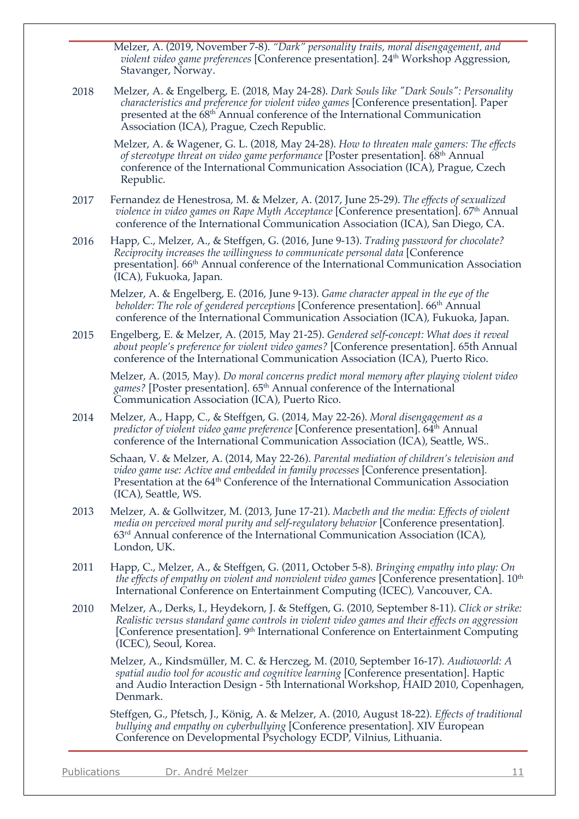Melzer, A. (2019, November 7-8). *"Dark" personality traits, moral disengagement, and violent video game preferences* [Conference presentation]. 24<sup>th</sup> Workshop Aggression, Stavanger, Norway.

2018 Melzer, A. & Engelberg, E. (2018, May 24-28). *Dark Souls like "Dark Souls": Personality characteristics and preference for violent video games* [Conference presentation]*.* Paper presented at the 68th Annual conference of the International Communication Association (ICA), Prague, Czech Republic.

Melzer, A. & Wagener, G. L. (2018, May 24-28). *How to threaten male gamers: The effects of stereotype threat on video game performance* [Poster presentation]*.* 68th Annual conference of the International Communication Association (ICA), Prague, Czech Republic.

- 2017 Fernandez de Henestrosa, M. & Melzer, A. (2017, June 25-29). *The effects of sexualized*  violence in video games on Rape Myth Acceptance [Conference presentation]. 67<sup>th</sup> Annual conference of the International Communication Association (ICA), San Diego, CA.
- 2016 Happ, C., Melzer, A., & Steffgen, G. (2016, June 9-13). *Trading password for chocolate? Reciprocity increases the willingness to communicate personal data* [Conference presentation]*.* 66th Annual conference of the International Communication Association (ICA), Fukuoka, Japan.

Melzer, A. & Engelberg, E. (2016, June 9-13). *Game character appeal in the eye of the beholder: The role of gendered perceptions* [Conference presentation]. 66th Annual conference of the International Communication Association (ICA), Fukuoka, Japan.

2015 Engelberg, E. & Melzer, A. (2015, May 21-25). *Gendered self-concept: What does it reveal about people's preference for violent video games?* [Conference presentation]. 65th Annual conference of the International Communication Association (ICA), Puerto Rico.

Melzer, A. (2015, May). *Do moral concerns predict moral memory after playing violent video*  games? [Poster presentation]. 65<sup>th</sup> Annual conference of the International Communication Association (ICA), Puerto Rico.

2014 Melzer, A., Happ, C., & Steffgen, G. (2014, May 22-26). *Moral disengagement as a predictor of violent video game preference* [Conference presentation]. 64<sup>th</sup> Annual conference of the International Communication Association (ICA), Seattle, WS..

Schaan, V. & Melzer, A. (2014, May 22-26). *Parental mediation of children's television and video game use: Active and embedded in family processes* [Conference presentation]*.* Presentation at the 64<sup>th</sup> Conference of the International Communication Association (ICA), Seattle, WS.

- 2013 Melzer, A. & Gollwitzer, M. (2013, June 17-21). *Macbeth and the media: Effects of violent media on perceived moral purity and self-regulatory behavior* [Conference presentation]*.* 63rd Annual conference of the International Communication Association (ICA), London, UK.
- 2011 Happ, C., Melzer, A., & Steffgen, G. (2011, October 5-8). *Bringing empathy into play: On*  the effects of empathy on violent and nonviolent video games [Conference presentation]. 10<sup>th</sup> International Conference on Entertainment Computing (ICEC)*,* Vancouver, CA.
- 2010 Melzer, A., Derks, I., Heydekorn, J. & Steffgen, G. (2010, September 8-11). *Click or strike: Realistic versus standard game controls in violent video games and their effects on aggression* [Conference presentation]. 9<sup>th</sup> International Conference on Entertainment Computing (ICEC), Seoul, Korea.

Melzer, A., Kindsmüller, M. C. & Herczeg, M. (2010, September 16-17). *Audioworld: A spatial audio tool for acoustic and cognitive learning* [Conference presentation]. Haptic and Audio Interaction Design - 5th International Workshop, HAID 2010, Copenhagen, Denmark.

Steffgen, G., Pfetsch, J., König, A. & Melzer, A. (2010, August 18-22). *Effects of traditional bullying and empathy on cyberbullying* [Conference presentation]. XIV European Conference on Developmental Psychology ECDP*,* Vilnius, Lithuania.

Publications Dr. André Melzer 11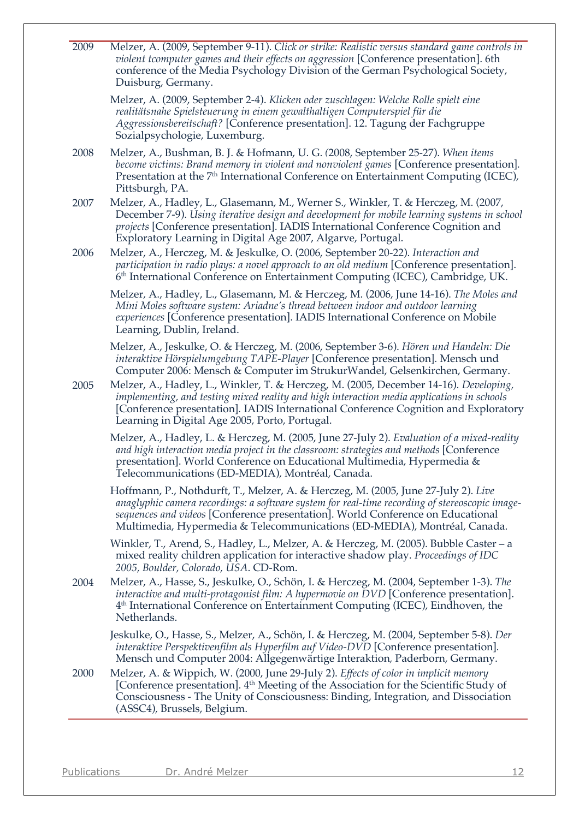| 2009 | Melzer, A. (2009, September 9-11). Click or strike: Realistic versus standard game controls in<br>violent tcomputer games and their effects on aggression [Conference presentation]. 6th<br>conference of the Media Psychology Division of the German Psychological Society,<br>Duisburg, Germany.                                                   |
|------|------------------------------------------------------------------------------------------------------------------------------------------------------------------------------------------------------------------------------------------------------------------------------------------------------------------------------------------------------|
|      | Melzer, A. (2009, September 2-4). Klicken oder zuschlagen: Welche Rolle spielt eine<br>realitätsnahe Spielsteuerung in einem gewalthaltigen Computerspiel für die<br>Aggressionsbereitschaft? [Conference presentation]. 12. Tagung der Fachgruppe<br>Sozialpsychologie, Luxemburg.                                                                  |
| 2008 | Melzer, A., Bushman, B. J. & Hofmann, U. G. (2008, September 25-27). When items<br>become victims: Brand memory in violent and nonviolent games [Conference presentation].<br>Presentation at the 7 <sup>th</sup> International Conference on Entertainment Computing (ICEC),<br>Pittsburgh, PA.                                                     |
| 2007 | Melzer, A., Hadley, L., Glasemann, M., Werner S., Winkler, T. & Herczeg, M. (2007,<br>December 7-9). Using iterative design and development for mobile learning systems in school<br>projects [Conference presentation]. IADIS International Conference Cognition and<br>Exploratory Learning in Digital Age 2007, Algarve, Portugal.                |
| 2006 | Melzer, A., Herczeg, M. & Jeskulke, O. (2006, September 20-22). Interaction and<br>participation in radio plays: a novel approach to an old medium [Conference presentation].<br>6 <sup>th</sup> International Conference on Entertainment Computing (ICEC), Cambridge, UK.                                                                          |
|      | Melzer, A., Hadley, L., Glasemann, M. & Herczeg, M. (2006, June 14-16). The Moles and<br>Mini Moles software system: Ariadne's thread between indoor and outdoor learning<br>experiences [Conference presentation]. IADIS International Conference on Mobile<br>Learning, Dublin, Ireland.                                                           |
|      | Melzer, A., Jeskulke, O. & Herczeg, M. (2006, September 3-6). Hören und Handeln: Die<br>interaktive Hörspielumgebung TAPE-Player [Conference presentation]. Mensch und<br>Computer 2006: Mensch & Computer im StrukurWandel, Gelsenkirchen, Germany.                                                                                                 |
| 2005 | Melzer, A., Hadley, L., Winkler, T. & Herczeg, M. (2005, December 14-16). Developing,<br>implementing, and testing mixed reality and high interaction media applications in schools<br>[Conference presentation]. IADIS International Conference Cognition and Exploratory<br>Learning in Digital Age 2005, Porto, Portugal.                         |
|      | Melzer, A., Hadley, L. & Herczeg, M. (2005, June 27-July 2). Evaluation of a mixed-reality<br>and high interaction media project in the classroom: strategies and methods [Conference<br>presentation]. World Conference on Educational Multimedia, Hypermedia &<br>Telecommunications (ED-MEDIA), Montréal, Canada.                                 |
|      | Hoffmann, P., Nothdurft, T., Melzer, A. & Herczeg, M. (2005, June 27-July 2). Live<br>anaglyphic camera recordings: a software system for real-time recording of stereoscopic image-<br>sequences and videos [Conference presentation]. World Conference on Educational<br>Multimedia, Hypermedia & Telecommunications (ED-MEDIA), Montréal, Canada. |
|      | Winkler, T., Arend, S., Hadley, L., Melzer, A. & Herczeg, M. (2005). Bubble Caster – a<br>mixed reality children application for interactive shadow play. Proceedings of IDC<br>2005, Boulder, Colorado, USA. CD-Rom.                                                                                                                                |
| 2004 | Melzer, A., Hasse, S., Jeskulke, O., Schön, I. & Herczeg, M. (2004, September 1-3). The<br>interactive and multi-protagonist film: A hypermovie on DVD [Conference presentation].<br>4 <sup>th</sup> International Conference on Entertainment Computing (ICEC), Eindhoven, the<br>Netherlands.                                                      |
|      | Jeskulke, O., Hasse, S., Melzer, A., Schön, I. & Herczeg, M. (2004, September 5-8). <i>Der</i><br>interaktive Perspektivenfilm als Hyperfilm auf Video-DVD [Conference presentation].<br>Mensch und Computer 2004: Allgegenwärtige Interaktion, Paderborn, Germany.                                                                                  |
| 2000 | Melzer, A. & Wippich, W. (2000, June 29-July 2). Effects of color in implicit memory<br>[Conference presentation]. 4 <sup>th</sup> Meeting of the Association for the Scientific Study of<br>Consciousness - The Unity of Consciousness: Binding, Integration, and Dissociation<br>(ASSC4), Brussels, Belgium.                                       |
|      |                                                                                                                                                                                                                                                                                                                                                      |